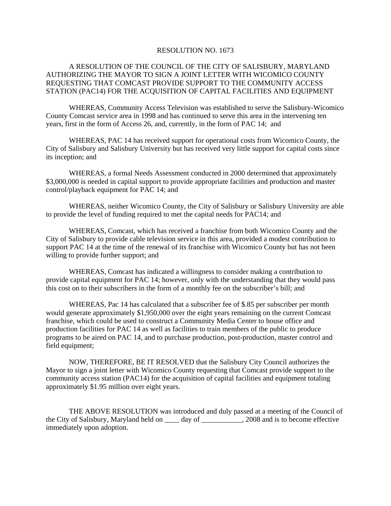## RESOLUTION NO. 1673

## A RESOLUTION OF THE COUNCIL OF THE CITY OF SALISBURY, MARYLAND AUTHORIZING THE MAYOR TO SIGN A JOINT LETTER WITH WICOMICO COUNTY REQUESTING THAT COMCAST PROVIDE SUPPORT TO THE COMMUNITY ACCESS STATION (PAC14) FOR THE ACQUISITION OF CAPITAL FACILITIES AND EQUIPMENT

WHEREAS, Community Access Television was established to serve the Salisbury-Wicomico County Comcast service area in 1998 and has continued to serve this area in the intervening ten years, first in the form of Access 26, and, currently, in the form of PAC 14; and

WHEREAS, PAC 14 has received support for operational costs from Wicomico County, the City of Salisbury and Salisbury University but has received very little support for capital costs since its inception; and

WHEREAS, a formal Needs Assessment conducted in 2000 determined that approximately \$3,000,000 is needed in capital support to provide appropriate facilities and production and master control/playback equipment for PAC 14; and

WHEREAS, neither Wicomico County, the City of Salisbury or Salisbury University are able to provide the level of funding required to met the capital needs for PAC14; and

WHEREAS, Comcast, which has received a franchise from both Wicomico County and the City of Salisbury to provide cable television service in this area, provided a modest contribution to support PAC 14 at the time of the renewal of its franchise with Wicomico County but has not been willing to provide further support; and

WHEREAS, Comcast has indicated a willingness to consider making a contribution to provide capital equipment for PAC 14; however, only with the understanding that they would pass this cost on to their subscribers in the form of a monthly fee on the subscriber's bill; and

WHEREAS, Pac 14 has calculated that a subscriber fee of \$.85 per subscriber per month would generate approximately \$1,950,000 over the eight years remaining on the current Comcast franchise, which could be used to construct a Community Media Center to house office and production facilities for PAC 14 as well as facilities to train members of the public to produce programs to be aired on PAC 14, and to purchase production, post-production, master control and field equipment;

NOW, THEREFORE, BE IT RESOLVED that the Salisbury City Council authorizes the Mayor to sign a joint letter with Wicomico County requesting that Comcast provide support to the community access station (PAC14) for the acquisition of capital facilities and equipment totaling approximately \$1.95 million over eight years.

THE ABOVE RESOLUTION was introduced and duly passed at a meeting of the Council of the City of Salisbury, Maryland held on \_\_\_\_ day of \_\_\_\_\_\_\_\_\_\_\_, 2008 and is to become effective immediately upon adoption.